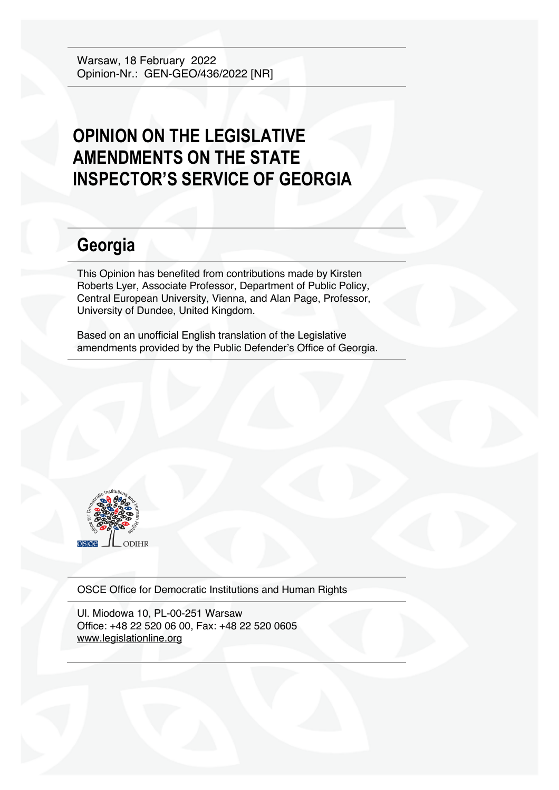Warsaw, 18 February 2022 Opinion-Nr.: GEN-GEO/436/2022 [NR]

## **OPINION ON THE LEGISLATIVE AMENDMENTS ON THE STATE INSPECTOR'S SERVICE OF GEORGIA**

# **Georgia**

This Opinion has benefited from contributions made by Kirsten Roberts Lyer, Associate Professor, Department of Public Policy, Central European University, Vienna, and Alan Page, Professor, University of Dundee, United Kingdom.

Based on an unofficial English translation of the Legislative amendments provided by the Public Defender's Office of Georgia.



OSCE Office for Democratic Institutions and Human Rights

Ul. Miodowa 10, PL-00-251 Warsaw Office: +48 22 520 06 00, Fax: +48 22 520 0605 www.legislationline.org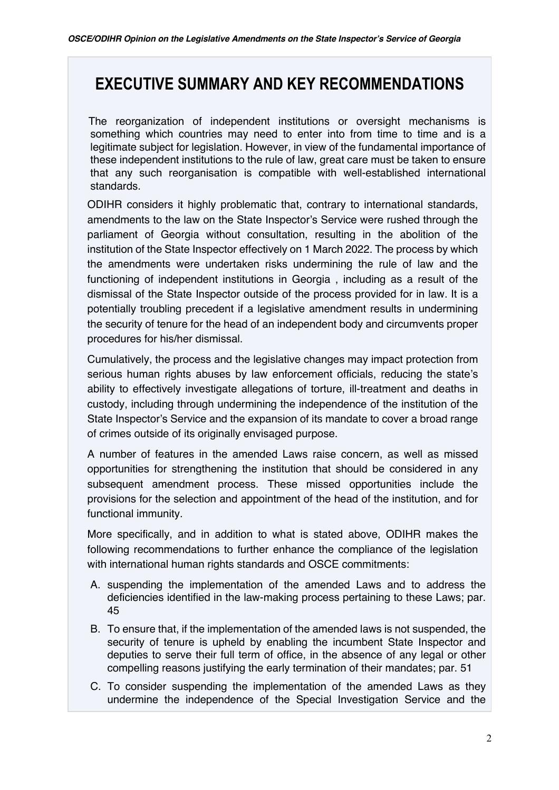## **EXECUTIVE SUMMARY AND KEY RECOMMENDATIONS**

 The reorganization of independent institutions or oversight mechanisms is something which countries may need to enter into from time to time and is a legitimate subject for legislation. However, in view of the fundamental importance of these independent institutions to the rule of law, great care must be taken to ensure that any such reorganisation is compatible with well-established international standards.

ODIHR considers it highly problematic that, contrary to international standards, amendments to the law on the State Inspector's Service were rushed through the parliament of Georgia without consultation, resulting in the abolition of the institution of the State Inspector effectively on 1 March 2022. The process by which the amendments were undertaken risks undermining the rule of law and the functioning of independent institutions in Georgia , including as a result of the dismissal of the State Inspector outside of the process provided for in law. It is a potentially troubling precedent if a legislative amendment results in undermining the security of tenure for the head of an independent body and circumvents proper procedures for his/her dismissal.

Cumulatively, the process and the legislative changes may impact protection from serious human rights abuses by law enforcement officials, reducing the state's ability to effectively investigate allegations of torture, ill-treatment and deaths in custody, including through undermining the independence of the institution of the State Inspector's Service and the expansion of its mandate to cover a broad range of crimes outside of its originally envisaged purpose.

A number of features in the amended Laws raise concern, as well as missed opportunities for strengthening the institution that should be considered in any subsequent amendment process. These missed opportunities include the provisions for the selection and appointment of the head of the institution, and for functional immunity.

More specifically, and in addition to what is stated above, ODIHR makes the following recommendations to further enhance the compliance of the legislation with international human rights standards and OSCE commitments:

- A. suspending the implementation of the amended Laws and to address the deficiencies identified in the law-making process pertaining to these Laws; par. 45
- B. To ensure that, if the implementation of the amended laws is not suspended, the security of tenure is upheld by enabling the incumbent State Inspector and deputies to serve their full term of office, in the absence of any legal or other compelling reasons justifying the early termination of their mandates; par. 51
- C. To consider suspending the implementation of the amended Laws as they undermine the independence of the Special Investigation Service and the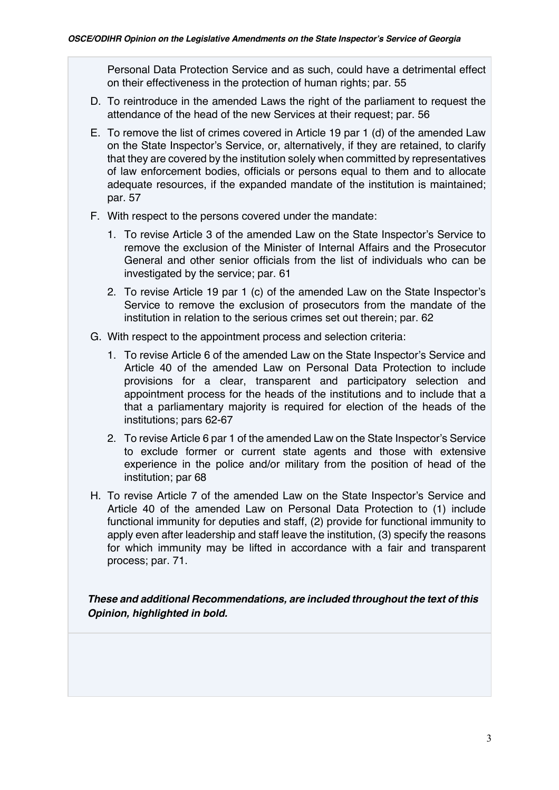Personal Data Protection Service and as such, could have a detrimental effect on their effectiveness in the protection of human rights; par. 55

- D. To reintroduce in the amended Laws the right of the parliament to request the attendance of the head of the new Services at their request; par. 56
- E. To remove the list of crimes covered in Article 19 par 1 (d) of the amended Law on the State Inspector's Service, or, alternatively, if they are retained, to clarify that they are covered by the institution solely when committed by representatives of law enforcement bodies, officials or persons equal to them and to allocate adequate resources, if the expanded mandate of the institution is maintained; par. 57
- F. With respect to the persons covered under the mandate:
	- 1. To revise Article 3 of the amended Law on the State Inspector's Service to remove the exclusion of the Minister of Internal Affairs and the Prosecutor General and other senior officials from the list of individuals who can be investigated by the service; par. 61
	- 2. To revise Article 19 par 1 (c) of the amended Law on the State Inspector's Service to remove the exclusion of prosecutors from the mandate of the institution in relation to the serious crimes set out therein; par. 62
- G. With respect to the appointment process and selection criteria:
	- 1. To revise Article 6 of the amended Law on the State Inspector's Service and Article 40 of the amended Law on Personal Data Protection to include provisions for a clear, transparent and participatory selection and appointment process for the heads of the institutions and to include that a that a parliamentary majority is required for election of the heads of the institutions; pars 62-67
	- 2. To revise Article 6 par 1 of the amended Law on the State Inspector's Service to exclude former or current state agents and those with extensive experience in the police and/or military from the position of head of the institution; par 68
- H. To revise Article 7 of the amended Law on the State Inspector's Service and Article 40 of the amended Law on Personal Data Protection to (1) include functional immunity for deputies and staff, (2) provide for functional immunity to apply even after leadership and staff leave the institution, (3) specify the reasons for which immunity may be lifted in accordance with a fair and transparent process; par. 71.

*These and additional Recommendations, are included throughout the text of this Opinion, highlighted in bold.*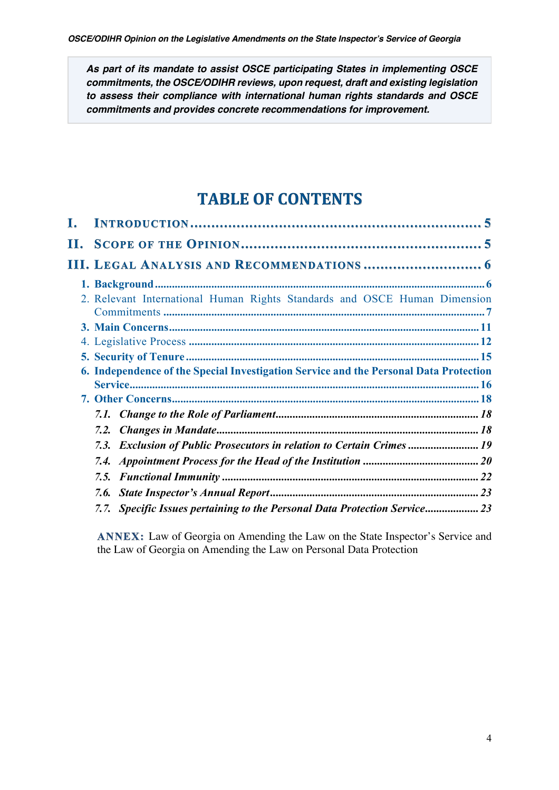*As part of its mandate to assist OSCE participating States in implementing OSCE commitments, the OSCE/ODIHR reviews, upon request, draft and existing legislation to assess their compliance with international human rights standards and OSCE commitments and provides concrete recommendations for improvement.*

## **TABLE OF CONTENTS**

| L. |                                                                                       |  |
|----|---------------------------------------------------------------------------------------|--|
|    |                                                                                       |  |
|    |                                                                                       |  |
|    |                                                                                       |  |
|    | 2. Relevant International Human Rights Standards and OSCE Human Dimension             |  |
|    |                                                                                       |  |
|    |                                                                                       |  |
|    |                                                                                       |  |
|    | 6. Independence of the Special Investigation Service and the Personal Data Protection |  |
|    |                                                                                       |  |
|    |                                                                                       |  |
|    |                                                                                       |  |
|    | 7.2.                                                                                  |  |
|    | 7.3. Exclusion of Public Prosecutors in relation to Certain Crimes  19                |  |
|    |                                                                                       |  |
|    |                                                                                       |  |
|    |                                                                                       |  |
|    | 7.7. Specific Issues pertaining to the Personal Data Protection Service 23            |  |

**ANNEX:** Law of Georgia on Amending the Law on the State Inspector's Service and the Law of Georgia on Amending the Law on Personal Data Protection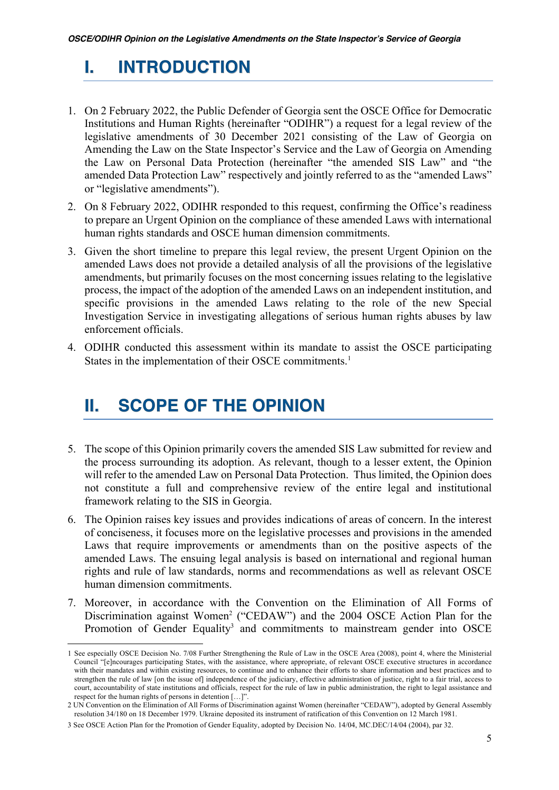## **I. INTRODUCTION**

- 1. On 2 February 2022, the Public Defender of Georgia sent the OSCE Office for Democratic Institutions and Human Rights (hereinafter "ODIHR") a request for a legal review of the legislative amendments of 30 December 2021 consisting of the Law of Georgia on Amending the Law on the State Inspector's Service and the Law of Georgia on Amending the Law on Personal Data Protection (hereinafter "the amended SIS Law" and "the amended Data Protection Law" respectively and jointly referred to as the "amended Laws" or "legislative amendments").
- 2. On 8 February 2022, ODIHR responded to this request, confirming the Office's readiness to prepare an Urgent Opinion on the compliance of these amended Laws with international human rights standards and OSCE human dimension commitments.
- 3. Given the short timeline to prepare this legal review, the present Urgent Opinion on the amended Laws does not provide a detailed analysis of all the provisions of the legislative amendments, but primarily focuses on the most concerning issues relating to the legislative process, the impact of the adoption of the amended Laws on an independent institution, and specific provisions in the amended Laws relating to the role of the new Special Investigation Service in investigating allegations of serious human rights abuses by law enforcement officials.
- 4. ODIHR conducted this assessment within its mandate to assist the OSCE participating States in the implementation of their OSCE commitments.<sup>1</sup>

## **II. SCOPE OF THE OPINION**

- 5. The scope of this Opinion primarily covers the amended SIS Law submitted for review and the process surrounding its adoption. As relevant, though to a lesser extent, the Opinion will refer to the amended Law on Personal Data Protection. Thus limited, the Opinion does not constitute a full and comprehensive review of the entire legal and institutional framework relating to the SIS in Georgia.
- 6. The Opinion raises key issues and provides indications of areas of concern. In the interest of conciseness, it focuses more on the legislative processes and provisions in the amended Laws that require improvements or amendments than on the positive aspects of the amended Laws. The ensuing legal analysis is based on international and regional human rights and rule of law standards, norms and recommendations as well as relevant OSCE human dimension commitments.
- 7. Moreover, in accordance with the Convention on the Elimination of All Forms of Discrimination against Women<sup>2</sup> ("CEDAW") and the 2004 OSCE Action Plan for the Promotion of Gender Equality<sup>3</sup> and commitments to mainstream gender into OSCE

<sup>1</sup> See especially OSCE Decision No. 7/08 Further Strengthening the Rule of Law in the OSCE Area (2008), point 4, where the Ministerial Council "[e]ncourages participating States, with the assistance, where appropriate, of relevant OSCE executive structures in accordance with their mandates and within existing resources, to continue and to enhance their efforts to share information and best practices and to strengthen the rule of law [on the issue of] independence of the judiciary, effective administration of justice, right to a fair trial, access to court, accountability of state institutions and officials, respect for the rule of law in public administration, the right to legal assistance and respect for the human rights of persons in detention […]".

<sup>2</sup> UN Convention on the Elimination of All Forms of Discrimination against Women (hereinafter "CEDAW"), adopted by General Assembly resolution 34/180 on 18 December 1979. Ukraine deposited its instrument of ratification of this Convention on 12 March 1981.

<sup>3</sup> See OSCE Action Plan for the Promotion of Gender Equality, adopted by Decision No. 14/04, MC.DEC/14/04 (2004), par 32.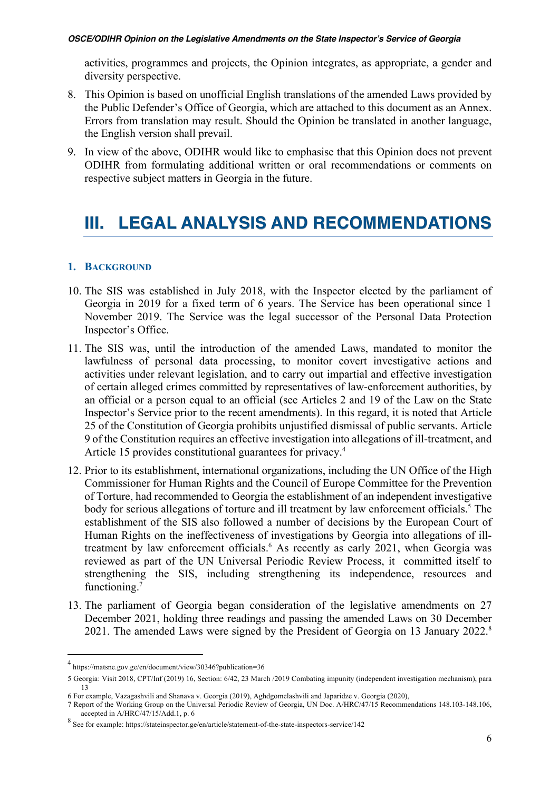activities, programmes and projects, the Opinion integrates, as appropriate, a gender and diversity perspective.

- 8. This Opinion is based on unofficial English translations of the amended Laws provided by the Public Defender's Office of Georgia, which are attached to this document as an Annex. Errors from translation may result. Should the Opinion be translated in another language, the English version shall prevail.
- 9. In view of the above, ODIHR would like to emphasise that this Opinion does not prevent ODIHR from formulating additional written or oral recommendations or comments on respective subject matters in Georgia in the future.

## **III. LEGAL ANALYSIS AND RECOMMENDATIONS**

## **1. BACKGROUND**

- 10. The SIS was established in July 2018, with the Inspector elected by the parliament of Georgia in 2019 for a fixed term of 6 years. The Service has been operational since 1 November 2019. The Service was the legal successor of the Personal Data Protection Inspector's Office.
- 11. The SIS was, until the introduction of the amended Laws, mandated to monitor the lawfulness of personal data processing, to monitor covert investigative actions and activities under relevant legislation, and to carry out impartial and effective investigation of certain alleged crimes committed by representatives of law-enforcement authorities, by an official or a person equal to an official (see Articles 2 and 19 of the Law on the State Inspector's Service prior to the recent amendments). In this regard, it is noted that Article 25 of the Constitution of Georgia prohibits unjustified dismissal of public servants. Article 9 of the Constitution requires an effective investigation into allegations of ill-treatment, and Article 15 provides constitutional guarantees for privacy.4
- 12. Prior to its establishment, international organizations, including the UN Office of the High Commissioner for Human Rights and the Council of Europe Committee for the Prevention of Torture, had recommended to Georgia the establishment of an independent investigative body for serious allegations of torture and ill treatment by law enforcement officials.<sup>5</sup> The establishment of the SIS also followed a number of decisions by the European Court of Human Rights on the ineffectiveness of investigations by Georgia into allegations of illtreatment by law enforcement officials.<sup>6</sup> As recently as early 2021, when Georgia was reviewed as part of the UN Universal Periodic Review Process, it committed itself to strengthening the SIS, including strengthening its independence, resources and functioning.<sup>7</sup>
- 13. The parliament of Georgia began consideration of the legislative amendments on 27 December 2021, holding three readings and passing the amended Laws on 30 December 2021. The amended Laws were signed by the President of Georgia on 13 January 2022.<sup>8</sup>

<sup>4</sup> https://matsne.gov.ge/en/document/view/30346?publication=36

<sup>5</sup> Georgia: Visit 2018, CPT/Inf (2019) 16, Section: 6/42, 23 March /2019 Combating impunity (independent investigation mechanism), para 13

<sup>6</sup> For example, Vazagashvili and Shanava v. Georgia (2019), Aghdgomelashvili and Japaridze v. Georgia (2020),

<sup>7</sup> Report of the Working Group on the Universal Periodic Review of Georgia, UN Doc. A/HRC/47/15 Recommendations 148.103-148.106, accepted in A/HRC/47/15/Add.1, p. 6

<sup>8</sup> See for example: https://stateinspector.ge/en/article/statement-of-the-state-inspectors-service/142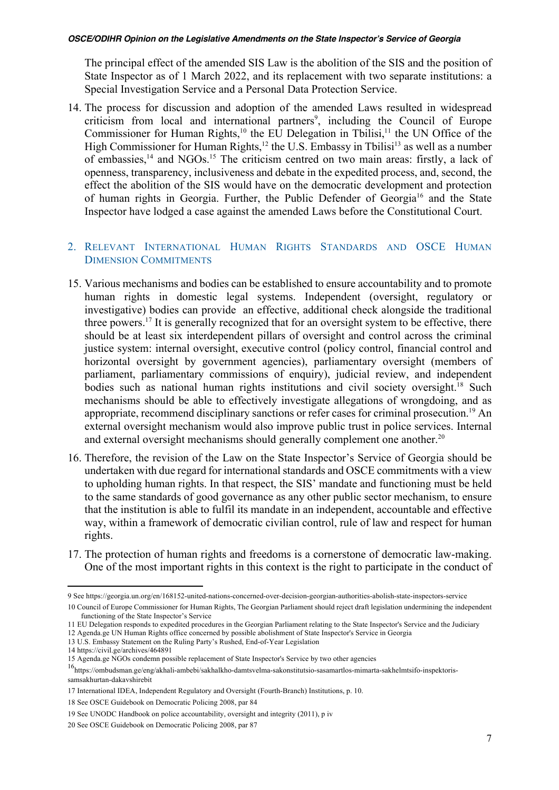The principal effect of the amended SIS Law is the abolition of the SIS and the position of State Inspector as of 1 March 2022, and its replacement with two separate institutions: a Special Investigation Service and a Personal Data Protection Service.

14. The process for discussion and adoption of the amended Laws resulted in widespread criticism from local and international partners<sup>9</sup>, including the Council of Europe Commissioner for Human Rights, $10$  the EU Delegation in Tbilisi, $11$  the UN Office of the High Commissioner for Human Rights,<sup>12</sup> the U.S. Embassy in Tbilisi<sup>13</sup> as well as a number of embassies,<sup>14</sup> and NGOs.<sup>15</sup> The criticism centred on two main areas: firstly, a lack of openness, transparency, inclusiveness and debate in the expedited process, and, second, the effect the abolition of the SIS would have on the democratic development and protection of human rights in Georgia. Further, the Public Defender of Georgia<sup>16</sup> and the State Inspector have lodged a case against the amended Laws before the Constitutional Court.

## 2. RELEVANT INTERNATIONAL HUMAN RIGHTS STANDARDS AND OSCE HUMAN DIMENSION COMMITMENTS

- 15. Various mechanisms and bodies can be established to ensure accountability and to promote human rights in domestic legal systems. Independent (oversight, regulatory or investigative) bodies can provide an effective, additional check alongside the traditional three powers.<sup>17</sup> It is generally recognized that for an oversight system to be effective, there should be at least six interdependent pillars of oversight and control across the criminal justice system: internal oversight, executive control (policy control, financial control and horizontal oversight by government agencies), parliamentary oversight (members of parliament, parliamentary commissions of enquiry), judicial review, and independent bodies such as national human rights institutions and civil society oversight.<sup>18</sup> Such mechanisms should be able to effectively investigate allegations of wrongdoing, and as appropriate, recommend disciplinary sanctions or refer cases for criminal prosecution.<sup>19</sup> An external oversight mechanism would also improve public trust in police services. Internal and external oversight mechanisms should generally complement one another.<sup>20</sup>
- 16. Therefore, the revision of the Law on the State Inspector's Service of Georgia should be undertaken with due regard for international standards and OSCE commitments with a view to upholding human rights. In that respect, the SIS' mandate and functioning must be held to the same standards of good governance as any other public sector mechanism, to ensure that the institution is able to fulfil its mandate in an independent, accountable and effective way, within a framework of democratic civilian control, rule of law and respect for human rights.
- 17. The protection of human rights and freedoms is a cornerstone of democratic law-making. One of the most important rights in this context is the right to participate in the conduct of

<sup>9</sup> See https://georgia.un.org/en/168152-united-nations-concerned-over-decision-georgian-authorities-abolish-state-inspectors-service

<sup>10</sup> Council of Europe Commissioner for Human Rights, The Georgian Parliament should reject draft legislation undermining the independent functioning of the State Inspector's Service

<sup>11</sup> EU Delegation responds to expedited procedures in the Georgian Parliament relating to the State Inspector's Service and the Judiciary

<sup>12</sup> Agenda.ge UN Human Rights office concerned by possible abolishment of State Inspector's Service in Georgia

<sup>13</sup> U.S. Embassy Statement on the Ruling Party's Rushed, End-of-Year Legislation

<sup>14</sup> https://civil.ge/archives/464891

<sup>15</sup> Agenda.ge NGOs condemn possible replacement of State Inspector's Service by two other agencies

<sup>16</sup>https://ombudsman.ge/eng/akhali-ambebi/sakhalkho-damtsvelma-sakonstitutsio-sasamartlos-mimarta-sakhelmtsifo-inspektorissamsakhurtan-dakavshirebit

<sup>17</sup> International IDEA, Independent Regulatory and Oversight (Fourth-Branch) Institutions, p. 10.

<sup>18</sup> See OSCE Guidebook on Democratic Policing 2008, par 84

<sup>19</sup> See UNODC Handbook on police accountability, oversight and integrity (2011), p iv

<sup>20</sup> See OSCE Guidebook on Democratic Policing 2008, par 87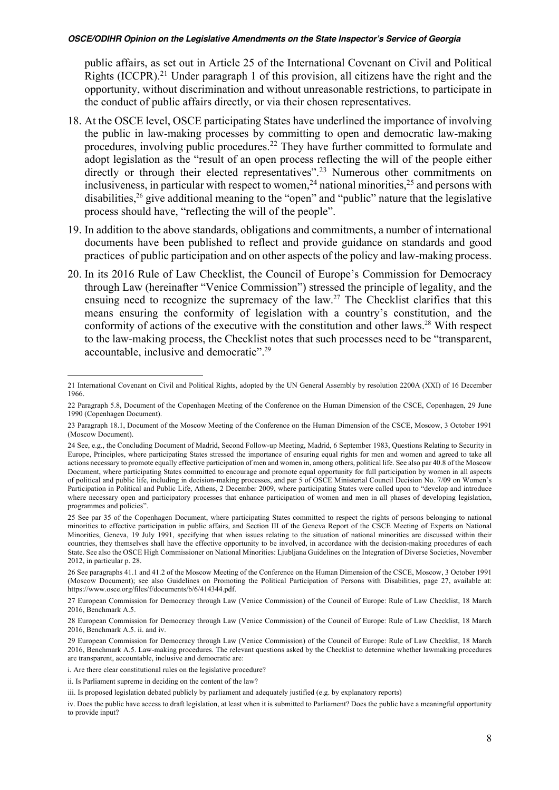public affairs, as set out in Article 25 of the International Covenant on Civil and Political Rights (ICCPR).<sup>21</sup> Under paragraph 1 of this provision, all citizens have the right and the opportunity, without discrimination and without unreasonable restrictions, to participate in the conduct of public affairs directly, or via their chosen representatives.

- 18. At the OSCE level, OSCE participating States have underlined the importance of involving the public in law-making processes by committing to open and democratic law-making procedures, involving public procedures.22 They have further committed to formulate and adopt legislation as the "result of an open process reflecting the will of the people either directly or through their elected representatives".<sup>23</sup> Numerous other commitments on inclusiveness, in particular with respect to women,<sup>24</sup> national minorities,<sup>25</sup> and persons with disabilities, $26$  give additional meaning to the "open" and "public" nature that the legislative process should have, "reflecting the will of the people".
- 19. In addition to the above standards, obligations and commitments, a number of international documents have been published to reflect and provide guidance on standards and good practices of public participation and on other aspects of the policy and law-making process.
- 20. In its 2016 Rule of Law Checklist, the Council of Europe's Commission for Democracy through Law (hereinafter "Venice Commission") stressed the principle of legality, and the ensuing need to recognize the supremacy of the law.<sup>27</sup> The Checklist clarifies that this means ensuring the conformity of legislation with a country's constitution, and the conformity of actions of the executive with the constitution and other laws.<sup>28</sup> With respect to the law-making process, the Checklist notes that such processes need to be "transparent, accountable, inclusive and democratic".29

<sup>21</sup> International Covenant on Civil and Political Rights, adopted by the UN General Assembly by resolution 2200A (XXI) of 16 December 1966.

<sup>22</sup> Paragraph 5.8, Document of the Copenhagen Meeting of the Conference on the Human Dimension of the CSCE, Copenhagen, 29 June 1990 (Copenhagen Document).

<sup>23</sup> Paragraph 18.1, Document of the Moscow Meeting of the Conference on the Human Dimension of the CSCE, Moscow, 3 October 1991 (Moscow Document).

<sup>24</sup> See, e.g., the Concluding Document of Madrid, Second Follow-up Meeting, Madrid, 6 September 1983, Questions Relating to Security in Europe, Principles, where participating States stressed the importance of ensuring equal rights for men and women and agreed to take all actions necessary to promote equally effective participation of men and women in, among others, political life. See also par 40.8 of the Moscow Document, where participating States committed to encourage and promote equal opportunity for full participation by women in all aspects of political and public life, including in decision-making processes, and par 5 of OSCE Ministerial Council Decision No. 7/09 on Women's Participation in Political and Public Life, Athens, 2 December 2009, where participating States were called upon to "develop and introduce where necessary open and participatory processes that enhance participation of women and men in all phases of developing legislation, programmes and policies".

<sup>25</sup> See par 35 of the Copenhagen Document, where participating States committed to respect the rights of persons belonging to national minorities to effective participation in public affairs, and Section III of the Geneva Report of the CSCE Meeting of Experts on National Minorities, Geneva, 19 July 1991, specifying that when issues relating to the situation of national minorities are discussed within their countries, they themselves shall have the effective opportunity to be involved, in accordance with the decision-making procedures of each State. See also the OSCE High Commissioner on National Minorities: Ljubljana Guidelines on the Integration of Diverse Societies, November 2012, in particular p. 28.

<sup>26</sup> See paragraphs 41.1 and 41.2 of the Moscow Meeting of the Conference on the Human Dimension of the CSCE, Moscow, 3 October 1991 (Moscow Document); see also Guidelines on Promoting the Political Participation of Persons with Disabilities, page 27, available at: https://www.osce.org/files/f/documents/b/6/414344.pdf.

<sup>27</sup> European Commission for Democracy through Law (Venice Commission) of the Council of Europe: Rule of Law Checklist, 18 March 2016, Benchmark A.5.

<sup>28</sup> European Commission for Democracy through Law (Venice Commission) of the Council of Europe: Rule of Law Checklist, 18 March 2016, Benchmark A.5. ii. and iv.

<sup>29</sup> European Commission for Democracy through Law (Venice Commission) of the Council of Europe: Rule of Law Checklist, 18 March 2016, Benchmark A.5. Law-making procedures. The relevant questions asked by the Checklist to determine whether lawmaking procedures are transparent, accountable, inclusive and democratic are:

i. Are there clear constitutional rules on the legislative procedure?

ii. Is Parliament supreme in deciding on the content of the law?

iii. Is proposed legislation debated publicly by parliament and adequately justified (e.g. by explanatory reports)

iv. Does the public have access to draft legislation, at least when it is submitted to Parliament? Does the public have a meaningful opportunity to provide input?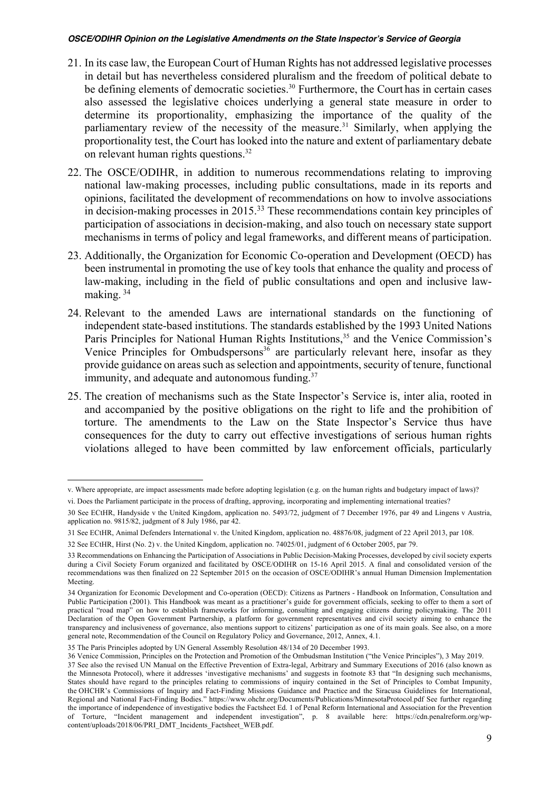- 21. In its case law, the European Court of Human Rights has not addressed legislative processes in detail but has nevertheless considered pluralism and the freedom of political debate to be defining elements of democratic societies.<sup>30</sup> Furthermore, the Court has in certain cases also assessed the legislative choices underlying a general state measure in order to determine its proportionality, emphasizing the importance of the quality of the parliamentary review of the necessity of the measure.<sup>31</sup> Similarly, when applying the proportionality test, the Court has looked into the nature and extent of parliamentary debate on relevant human rights questions.<sup>32</sup>
- 22. The OSCE/ODIHR, in addition to numerous recommendations relating to improving national law-making processes, including public consultations, made in its reports and opinions, facilitated the development of recommendations on how to involve associations in decision-making processes in 2015.33 These recommendations contain key principles of participation of associations in decision-making, and also touch on necessary state support mechanisms in terms of policy and legal frameworks, and different means of participation.
- 23. Additionally, the Organization for Economic Co-operation and Development (OECD) has been instrumental in promoting the use of key tools that enhance the quality and process of law-making, including in the field of public consultations and open and inclusive lawmaking. 34
- 24. Relevant to the amended Laws are international standards on the functioning of independent state-based institutions. The standards established by the 1993 United Nations Paris Principles for National Human Rights Institutions,<sup>35</sup> and the Venice Commission's Venice Principles for Ombudspersons<sup>36</sup> are particularly relevant here, insofar as they provide guidance on areas such as selection and appointments, security of tenure, functional immunity, and adequate and autonomous funding.<sup>37</sup>
- 25. The creation of mechanisms such as the State Inspector's Service is, inter alia, rooted in and accompanied by the positive obligations on the right to life and the prohibition of torture. The amendments to the Law on the State Inspector's Service thus have consequences for the duty to carry out effective investigations of serious human rights violations alleged to have been committed by law enforcement officials, particularly

v. Where appropriate, are impact assessments made before adopting legislation (e.g. on the human rights and budgetary impact of laws)?

vi. Does the Parliament participate in the process of drafting, approving, incorporating and implementing international treaties?

<sup>30</sup> See ECtHR, Handyside v the United Kingdom, application no. 5493/72, judgment of 7 December 1976, par 49 and Lingens v Austria, application no. 9815/82, judgment of 8 July 1986, par 42.

<sup>31</sup> See ECtHR, Animal Defenders International v. the United Kingdom, application no. 48876/08, judgment of 22 April 2013, par 108.

<sup>32</sup> See ECtHR, Hirst (No. 2) v. the United Kingdom, application no. 74025/01, judgment of 6 October 2005, par 79.

<sup>33</sup> Recommendations on Enhancing the Participation of Associations in Public Decision-Making Processes, developed by civil society experts during a Civil Society Forum organized and facilitated by OSCE/ODIHR on 15-16 April 2015. A final and consolidated version of the recommendations was then finalized on 22 September 2015 on the occasion of OSCE/ODIHR's annual Human Dimension Implementation Meeting.

<sup>34</sup> Organization for Economic Development and Co-operation (OECD): Citizens as Partners - Handbook on Information, Consultation and Public Participation (2001). This Handbook was meant as a practitioner's guide for government officials, seeking to offer to them a sort of practical "road map" on how to establish frameworks for informing, consulting and engaging citizens during policymaking. The 2011 Declaration of the Open Government Partnership, a platform for government representatives and civil society aiming to enhance the transparency and inclusiveness of governance, also mentions support to citizens' participation as one of its main goals. See also, on a more general note, Recommendation of the Council on Regulatory Policy and Governance, 2012, Annex, 4.1.

<sup>35</sup> The Paris Principles adopted by UN General Assembly Resolution 48/134 of 20 December 1993.

<sup>36</sup> Venice Commission, Principles on the Protection and Promotion of the Ombudsman Institution ("the Venice Principles"), 3 May 2019. 37 See also the revised UN Manual on the Effective Prevention of Extra-legal, Arbitrary and Summary Executions of 2016 (also known as the Minnesota Protocol), where it addresses 'investigative mechanisms' and suggests in footnote 83 that "In designing such mechanisms, States should have regard to the principles relating to commissions of inquiry contained in the Set of Principles to Combat Impunity, the OHCHR's Commissions of Inquiry and Fact-Finding Missions Guidance and Practice and the Siracusa Guidelines for International, Regional and National Fact-Finding Bodies." https://www.ohchr.org/Documents/Publications/MinnesotaProtocol.pdf See further regarding the importance of independence of investigative bodies the Factsheet Ed. 1 of Penal Reform International and Association for the Prevention of Torture, "Incident management and independent investigation", p. 8 available here: https://cdn.penalreform.org/wpcontent/uploads/2018/06/PRI\_DMT\_Incidents\_Factsheet\_WEB.pdf.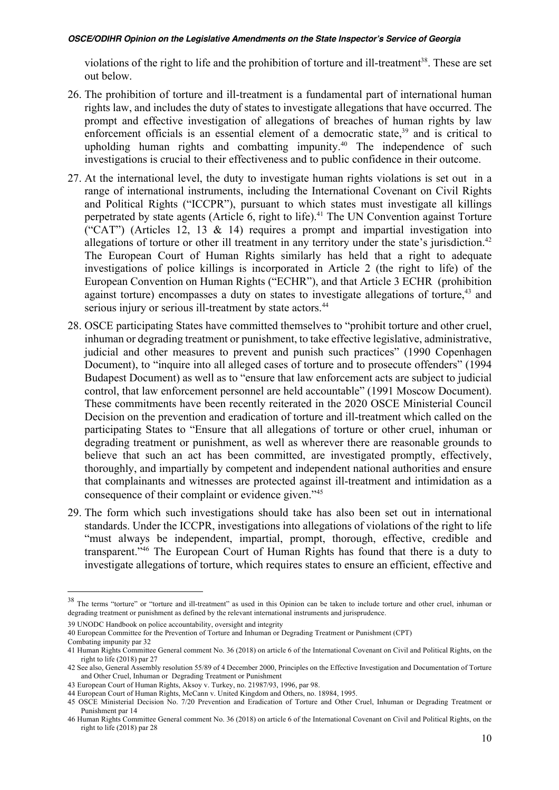violations of the right to life and the prohibition of torture and ill-treatment<sup>38</sup>. These are set out below.

- 26. The prohibition of torture and ill-treatment is a fundamental part of international human rights law, and includes the duty of states to investigate allegations that have occurred. The prompt and effective investigation of allegations of breaches of human rights by law enforcement officials is an essential element of a democratic state,<sup>39</sup> and is critical to upholding human rights and combatting impunity.<sup>40</sup> The independence of such investigations is crucial to their effectiveness and to public confidence in their outcome.
- 27. At the international level, the duty to investigate human rights violations is set out in a range of international instruments, including the International Covenant on Civil Rights and Political Rights ("ICCPR"), pursuant to which states must investigate all killings perpetrated by state agents (Article 6, right to life). <sup>41</sup> The UN Convention against Torture ("CAT") (Articles 12, 13 & 14) requires a prompt and impartial investigation into allegations of torture or other ill treatment in any territory under the state's jurisdiction.<sup>42</sup> The European Court of Human Rights similarly has held that a right to adequate investigations of police killings is incorporated in Article 2 (the right to life) of the European Convention on Human Rights ("ECHR"), and that Article 3 ECHR (prohibition against torture) encompasses a duty on states to investigate allegations of torture,  $43$  and serious injury or serious ill-treatment by state actors.<sup>44</sup>
- 28. OSCE participating States have committed themselves to "prohibit torture and other cruel, inhuman or degrading treatment or punishment, to take effective legislative, administrative, judicial and other measures to prevent and punish such practices" (1990 Copenhagen Document), to "inquire into all alleged cases of torture and to prosecute offenders" (1994 Budapest Document) as well as to "ensure that law enforcement acts are subject to judicial control, that law enforcement personnel are held accountable" (1991 Moscow Document). These commitments have been recently reiterated in the 2020 OSCE Ministerial Council Decision on the prevention and eradication of torture and ill-treatment which called on the participating States to "Ensure that all allegations of torture or other cruel, inhuman or degrading treatment or punishment, as well as wherever there are reasonable grounds to believe that such an act has been committed, are investigated promptly, effectively, thoroughly, and impartially by competent and independent national authorities and ensure that complainants and witnesses are protected against ill-treatment and intimidation as a consequence of their complaint or evidence given."45
- 29. The form which such investigations should take has also been set out in international standards. Under the ICCPR, investigations into allegations of violations of the right to life "must always be independent, impartial, prompt, thorough, effective, credible and transparent."46 The European Court of Human Rights has found that there is a duty to investigate allegations of torture, which requires states to ensure an efficient, effective and

<sup>&</sup>lt;sup>38</sup> The terms "torture" or "torture and ill-treatment" as used in this Opinion can be taken to include torture and other cruel, inhuman or degrading treatment or punishment as defined by the relevant international instruments and jurisprudence.

<sup>39</sup> UNODC Handbook on police accountability, oversight and integrity

<sup>40</sup> European Committee for the Prevention of Torture and Inhuman or Degrading Treatment or Punishment (CPT)

Combating impunity par 32

<sup>41</sup> Human Rights Committee General comment No. 36 (2018) on article 6 of the International Covenant on Civil and Political Rights, on the right to life (2018) par 27

<sup>42</sup> See also, General Assembly resolution 55/89 of 4 December 2000, Principles on the Effective Investigation and Documentation of Torture and Other Cruel, Inhuman or Degrading Treatment or Punishment

<sup>43</sup> European Court of Human Rights, Aksoy v. Turkey, no. 21987/93, 1996, par 98.

<sup>44</sup> European Court of Human Rights, McCann v. United Kingdom and Others, no. 18984, 1995.

<sup>45</sup> OSCE Ministerial Decision No. 7/20 Prevention and Eradication of Torture and Other Cruel, Inhuman or Degrading Treatment or Punishment par 14

<sup>46</sup> Human Rights Committee General comment No. 36 (2018) on article 6 of the International Covenant on Civil and Political Rights, on the right to life (2018) par 28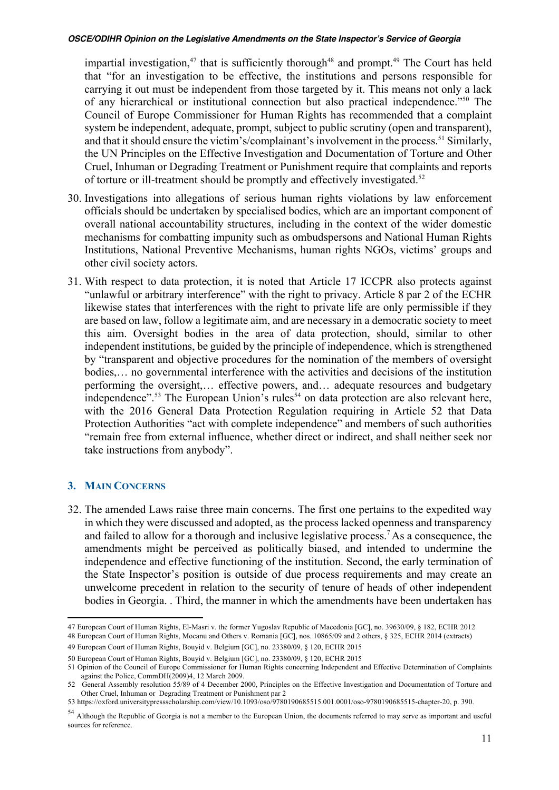impartial investigation,<sup>47</sup> that is sufficiently thorough<sup>48</sup> and prompt.<sup>49</sup> The Court has held that "for an investigation to be effective, the institutions and persons responsible for carrying it out must be independent from those targeted by it. This means not only a lack of any hierarchical or institutional connection but also practical independence."50 The Council of Europe Commissioner for Human Rights has recommended that a complaint system be independent, adequate, prompt, subject to public scrutiny (open and transparent), and that it should ensure the victim's/complainant's involvement in the process.<sup>51</sup> Similarly, the UN Principles on the Effective Investigation and Documentation of Torture and Other Cruel, Inhuman or Degrading Treatment or Punishment require that complaints and reports of torture or ill-treatment should be promptly and effectively investigated.52

- 30. Investigations into allegations of serious human rights violations by law enforcement officials should be undertaken by specialised bodies, which are an important component of overall national accountability structures, including in the context of the wider domestic mechanisms for combatting impunity such as ombudspersons and National Human Rights Institutions, National Preventive Mechanisms, human rights NGOs, victims' groups and other civil society actors.
- 31. With respect to data protection, it is noted that Article 17 ICCPR also protects against "unlawful or arbitrary interference" with the right to privacy. Article 8 par 2 of the ECHR likewise states that interferences with the right to private life are only permissible if they are based on law, follow a legitimate aim, and are necessary in a democratic society to meet this aim. Oversight bodies in the area of data protection, should, similar to other independent institutions, be guided by the principle of independence, which is strengthened by "transparent and objective procedures for the nomination of the members of oversight bodies,… no governmental interference with the activities and decisions of the institution performing the oversight,… effective powers, and… adequate resources and budgetary independence".<sup>53</sup> The European Union's rules<sup>54</sup> on data protection are also relevant here, with the 2016 General Data Protection Regulation requiring in Article 52 that Data Protection Authorities "act with complete independence" and members of such authorities "remain free from external influence, whether direct or indirect, and shall neither seek nor take instructions from anybody".

### **3. MAIN CONCERNS**

32. The amended Laws raise three main concerns. The first one pertains to the expedited way in which they were discussed and adopted, as the process lacked openness and transparency and failed to allow for a thorough and inclusive legislative process.<sup>7</sup> As a consequence, the amendments might be perceived as politically biased, and intended to undermine the independence and effective functioning of the institution. Second, the early termination of the State Inspector's position is outside of due process requirements and may create an unwelcome precedent in relation to the security of tenure of heads of other independent bodies in Georgia. . Third, the manner in which the amendments have been undertaken has

<sup>47</sup> European Court of Human Rights, El-Masri v. the former Yugoslav Republic of Macedonia [GC], no. 39630/09, § 182, ECHR 2012 48 European Court of Human Rights, Mocanu and Others v. Romania [GC], nos. 10865/09 and 2 others, § 325, ECHR 2014 (extracts)

<sup>49</sup> European Court of Human Rights, Bouyid v. Belgium [GC], no. 23380/09, § 120, ECHR 2015

<sup>50</sup> European Court of Human Rights, Bouyid v. Belgium [GC], no. 23380/09, § 120, ECHR 2015

<sup>51</sup> Opinion of the Council of Europe Commissioner for Human Rights concerning Independent and Effective Determination of Complaints against the Police, CommDH(2009)4, 12 March 2009.

<sup>52</sup> General Assembly resolution 55/89 of 4 December 2000, Principles on the Effective Investigation and Documentation of Torture and Other Cruel, Inhuman or Degrading Treatment or Punishment par 2

<sup>53</sup> https://oxford.universitypressscholarship.com/view/10.1093/oso/9780190685515.001.0001/oso-9780190685515-chapter-20, p. 390.

<sup>54</sup> Although the Republic of Georgia is not a member to the European Union, the documents referred to may serve as important and useful sources for reference.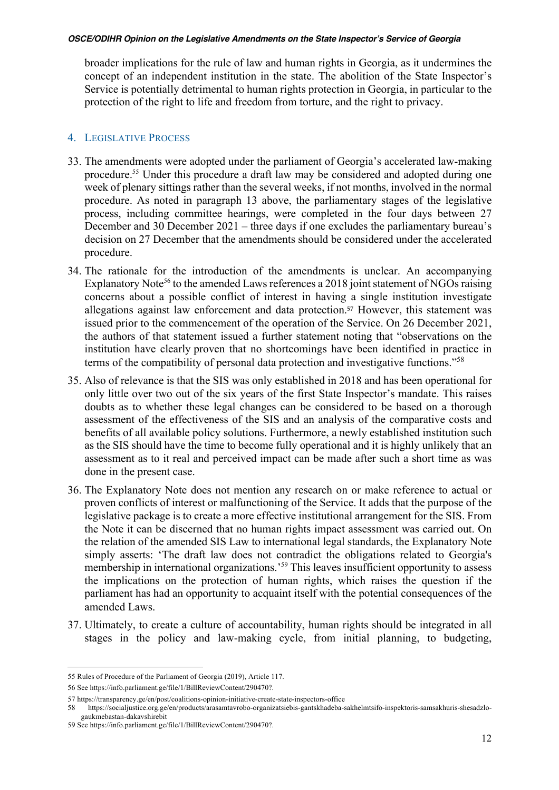broader implications for the rule of law and human rights in Georgia, as it undermines the concept of an independent institution in the state. The abolition of the State Inspector's Service is potentially detrimental to human rights protection in Georgia, in particular to the protection of the right to life and freedom from torture, and the right to privacy.

## 4. LEGISLATIVE PROCESS

- 33. The amendments were adopted under the parliament of Georgia's accelerated law-making procedure.55 Under this procedure a draft law may be considered and adopted during one week of plenary sittings rather than the several weeks, if not months, involved in the normal procedure. As noted in paragraph 13 above, the parliamentary stages of the legislative process, including committee hearings, were completed in the four days between 27 December and 30 December 2021 – three days if one excludes the parliamentary bureau's decision on 27 December that the amendments should be considered under the accelerated procedure.
- 34. The rationale for the introduction of the amendments is unclear. An accompanying Explanatory Note<sup>56</sup> to the amended Laws references a 2018 joint statement of NGOs raising concerns about a possible conflict of interest in having a single institution investigate allegations against law enforcement and data protection.<sup>57</sup> However, this statement was issued prior to the commencement of the operation of the Service. On 26 December 2021, the authors of that statement issued a further statement noting that "observations on the institution have clearly proven that no shortcomings have been identified in practice in terms of the compatibility of personal data protection and investigative functions."58
- 35. Also of relevance is that the SIS was only established in 2018 and has been operational for only little over two out of the six years of the first State Inspector's mandate. This raises doubts as to whether these legal changes can be considered to be based on a thorough assessment of the effectiveness of the SIS and an analysis of the comparative costs and benefits of all available policy solutions. Furthermore, a newly established institution such as the SIS should have the time to become fully operational and it is highly unlikely that an assessment as to it real and perceived impact can be made after such a short time as was done in the present case.
- 36. The Explanatory Note does not mention any research on or make reference to actual or proven conflicts of interest or malfunctioning of the Service. It adds that the purpose of the legislative package is to create a more effective institutional arrangement for the SIS. From the Note it can be discerned that no human rights impact assessment was carried out. On the relation of the amended SIS Law to international legal standards, the Explanatory Note simply asserts: 'The draft law does not contradict the obligations related to Georgia's membership in international organizations.'59 This leaves insufficient opportunity to assess the implications on the protection of human rights, which raises the question if the parliament has had an opportunity to acquaint itself with the potential consequences of the amended Laws.
- 37. Ultimately, to create a culture of accountability, human rights should be integrated in all stages in the policy and law-making cycle, from initial planning, to budgeting,

<sup>55</sup> Rules of Procedure of the Parliament of Georgia (2019), Article 117.

<sup>56</sup> See https://info.parliament.ge/file/1/BillReviewContent/290470?.

<sup>57</sup> https://transparency.ge/en/post/coalitions-opinion-initiative-create-state-inspectors-office

<sup>58</sup> https://socialjustice.org.ge/en/products/arasamtavrobo-organizatsiebis-gantskhadeba-sakhelmtsifo-inspektoris-samsakhuris-shesadzlogaukmebastan-dakavshirebit

<sup>59</sup> See https://info.parliament.ge/file/1/BillReviewContent/290470?.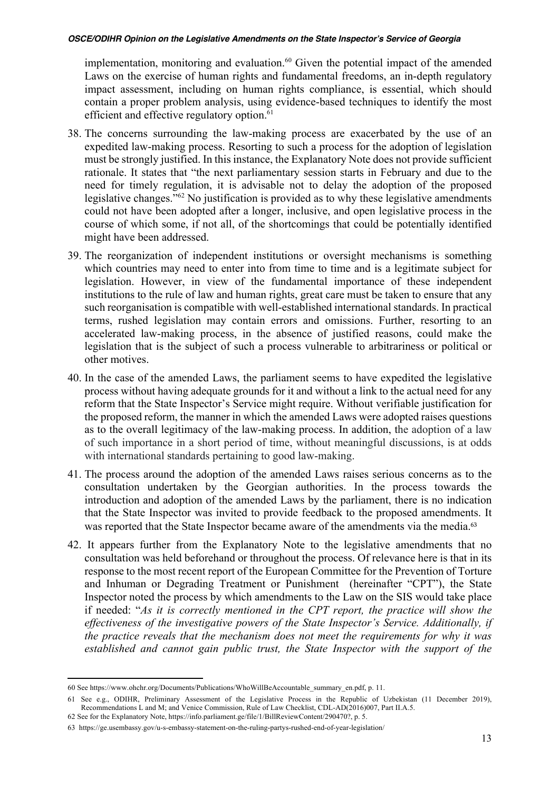implementation, monitoring and evaluation. <sup>60</sup> Given the potential impact of the amended Laws on the exercise of human rights and fundamental freedoms, an in-depth regulatory impact assessment, including on human rights compliance, is essential, which should contain a proper problem analysis, using evidence-based techniques to identify the most efficient and effective regulatory option.<sup>61</sup>

- 38. The concerns surrounding the law-making process are exacerbated by the use of an expedited law-making process. Resorting to such a process for the adoption of legislation must be strongly justified. In this instance, the Explanatory Note does not provide sufficient rationale. It states that "the next parliamentary session starts in February and due to the need for timely regulation, it is advisable not to delay the adoption of the proposed legislative changes."62 No justification is provided as to why these legislative amendments could not have been adopted after a longer, inclusive, and open legislative process in the course of which some, if not all, of the shortcomings that could be potentially identified might have been addressed.
- 39. The reorganization of independent institutions or oversight mechanisms is something which countries may need to enter into from time to time and is a legitimate subject for legislation. However, in view of the fundamental importance of these independent institutions to the rule of law and human rights, great care must be taken to ensure that any such reorganisation is compatible with well-established international standards. In practical terms, rushed legislation may contain errors and omissions. Further, resorting to an accelerated law-making process, in the absence of justified reasons, could make the legislation that is the subject of such a process vulnerable to arbitrariness or political or other motives.
- 40. In the case of the amended Laws, the parliament seems to have expedited the legislative process without having adequate grounds for it and without a link to the actual need for any reform that the State Inspector's Service might require. Without verifiable justification for the proposed reform, the manner in which the amended Laws were adopted raises questions as to the overall legitimacy of the law-making process. In addition, the adoption of a law of such importance in a short period of time, without meaningful discussions, is at odds with international standards pertaining to good law-making.
- 41. The process around the adoption of the amended Laws raises serious concerns as to the consultation undertaken by the Georgian authorities. In the process towards the introduction and adoption of the amended Laws by the parliament, there is no indication that the State Inspector was invited to provide feedback to the proposed amendments. It was reported that the State Inspector became aware of the amendments via the media.<sup>63</sup>
- 42. It appears further from the Explanatory Note to the legislative amendments that no consultation was held beforehand or throughout the process. Of relevance here is that in its response to the most recent report of the European Committee for the Prevention of Torture and Inhuman or Degrading Treatment or Punishment (hereinafter "CPT"), the State Inspector noted the process by which amendments to the Law on the SIS would take place if needed: "*As it is correctly mentioned in the CPT report, the practice will show the effectiveness of the investigative powers of the State Inspector's Service. Additionally, if the practice reveals that the mechanism does not meet the requirements for why it was established and cannot gain public trust, the State Inspector with the support of the*

<sup>60</sup> See https://www.ohchr.org/Documents/Publications/WhoWillBeAccountable\_summary\_en.pdf, p. 11.

<sup>61</sup> See e.g., ODIHR, Preliminary Assessment of the Legislative Process in the Republic of Uzbekistan (11 December 2019), Recommendations L and M; and Venice Commission, Rule of Law Checklist, CDL-AD(2016)007, Part II.A.5. 62 See for the Explanatory Note, https://info.parliament.ge/file/1/BillReviewContent/290470?, p. 5.

<sup>63</sup> https://ge.usembassy.gov/u-s-embassy-statement-on-the-ruling-partys-rushed-end-of-year-legislation/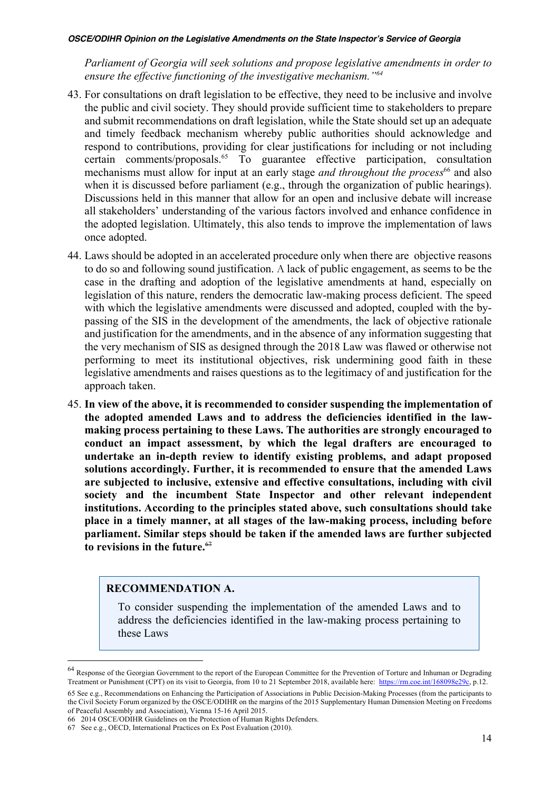*Parliament of Georgia will seek solutions and propose legislative amendments in order to ensure the effective functioning of the investigative mechanism."64*

- 43. For consultations on draft legislation to be effective, they need to be inclusive and involve the public and civil society. They should provide sufficient time to stakeholders to prepare and submit recommendations on draft legislation, while the State should set up an adequate and timely feedback mechanism whereby public authorities should acknowledge and respond to contributions, providing for clear justifications for including or not including certain comments/proposals.65 To guarantee effective participation, consultation mechanisms must allow for input at an early stage *and throughout the process*<sup>66</sup> and also when it is discussed before parliament (e.g., through the organization of public hearings). Discussions held in this manner that allow for an open and inclusive debate will increase all stakeholders' understanding of the various factors involved and enhance confidence in the adopted legislation. Ultimately, this also tends to improve the implementation of laws once adopted.
- 44. Laws should be adopted in an accelerated procedure only when there are objective reasons to do so and following sound justification. A lack of public engagement, as seems to be the case in the drafting and adoption of the legislative amendments at hand, especially on legislation of this nature, renders the democratic law-making process deficient. The speed with which the legislative amendments were discussed and adopted, coupled with the bypassing of the SIS in the development of the amendments, the lack of objective rationale and justification for the amendments, and in the absence of any information suggesting that the very mechanism of SIS as designed through the 2018 Law was flawed or otherwise not performing to meet its institutional objectives, risk undermining good faith in these legislative amendments and raises questions as to the legitimacy of and justification for the approach taken.
- 45. **In view of the above, it is recommended to consider suspending the implementation of the adopted amended Laws and to address the deficiencies identified in the lawmaking process pertaining to these Laws. The authorities are strongly encouraged to conduct an impact assessment, by which the legal drafters are encouraged to undertake an in-depth review to identify existing problems, and adapt proposed solutions accordingly. Further, it is recommended to ensure that the amended Laws are subjected to inclusive, extensive and effective consultations, including with civil society and the incumbent State Inspector and other relevant independent institutions. According to the principles stated above, such consultations should take place in a timely manner, at all stages of the law-making process, including before parliament. Similar steps should be taken if the amended laws are further subjected to revisions in the future.**<sup>67</sup>

## **RECOMMENDATION A.**

To consider suspending the implementation of the amended Laws and to address the deficiencies identified in the law-making process pertaining to these Laws

<sup>&</sup>lt;sup>64</sup> Response of the Georgian Government to the report of the European Committee for the Prevention of Torture and Inhuman or Degrading Treatment or Punishment (CPT) on its visit to Georgia, from 10 to 21 September 2018, available here: https://rm.coe.int/168098e29c, p.12.

<sup>65</sup> See e.g., Recommendations on Enhancing the Participation of Associations in Public Decision-Making Processes (from the participants to the Civil Society Forum organized by the OSCE/ODIHR on the margins of the 2015 Supplementary Human Dimension Meeting on Freedoms of Peaceful Assembly and Association), Vienna 15-16 April 2015.

<sup>66</sup> 2014 OSCE/ODIHR Guidelines on the Protection of Human Rights Defenders.

<sup>67</sup> See e.g., OECD, International Practices on Ex Post Evaluation (2010).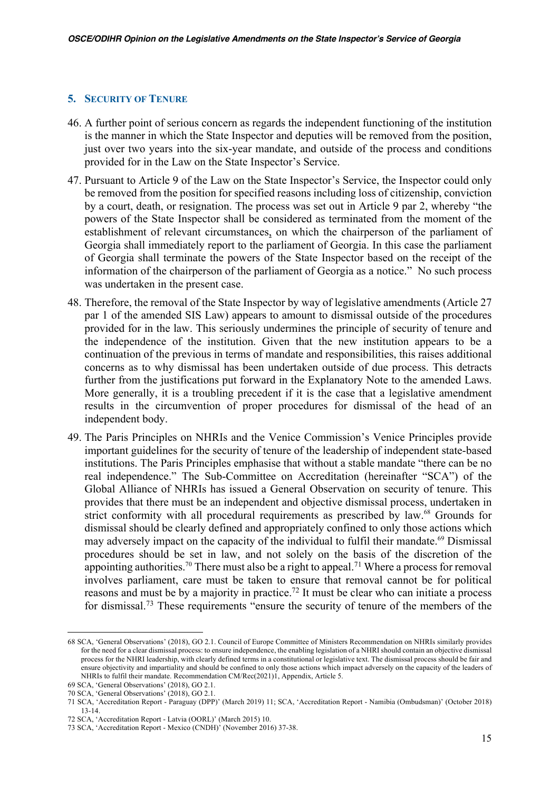#### **5. SECURITY OF TENURE**

- 46. A further point of serious concern as regards the independent functioning of the institution is the manner in which the State Inspector and deputies will be removed from the position, just over two years into the six-year mandate, and outside of the process and conditions provided for in the Law on the State Inspector's Service.
- 47. Pursuant to Article 9 of the Law on the State Inspector's Service, the Inspector could only be removed from the position for specified reasons including loss of citizenship, conviction by a court, death, or resignation. The process was set out in Article 9 par 2, whereby "the powers of the State Inspector shall be considered as terminated from the moment of the establishment of relevant circumstances, on which the chairperson of the parliament of Georgia shall immediately report to the parliament of Georgia. In this case the parliament of Georgia shall terminate the powers of the State Inspector based on the receipt of the information of the chairperson of the parliament of Georgia as a notice." No such process was undertaken in the present case.
- 48. Therefore, the removal of the State Inspector by way of legislative amendments (Article 27 par 1 of the amended SIS Law) appears to amount to dismissal outside of the procedures provided for in the law. This seriously undermines the principle of security of tenure and the independence of the institution. Given that the new institution appears to be a continuation of the previous in terms of mandate and responsibilities, this raises additional concerns as to why dismissal has been undertaken outside of due process. This detracts further from the justifications put forward in the Explanatory Note to the amended Laws. More generally, it is a troubling precedent if it is the case that a legislative amendment results in the circumvention of proper procedures for dismissal of the head of an independent body.
- 49. The Paris Principles on NHRIs and the Venice Commission's Venice Principles provide important guidelines for the security of tenure of the leadership of independent state-based institutions. The Paris Principles emphasise that without a stable mandate "there can be no real independence." The Sub-Committee on Accreditation (hereinafter "SCA") of the Global Alliance of NHRIs has issued a General Observation on security of tenure. This provides that there must be an independent and objective dismissal process, undertaken in strict conformity with all procedural requirements as prescribed by law.<sup>68</sup> Grounds for dismissal should be clearly defined and appropriately confined to only those actions which may adversely impact on the capacity of the individual to fulfil their mandate.<sup>69</sup> Dismissal procedures should be set in law, and not solely on the basis of the discretion of the appointing authorities.<sup>70</sup> There must also be a right to appeal.<sup>71</sup> Where a process for removal involves parliament, care must be taken to ensure that removal cannot be for political reasons and must be by a majority in practice.72 It must be clear who can initiate a process for dismissal.73 These requirements "ensure the security of tenure of the members of the

<sup>68</sup> SCA, 'General Observations' (2018), GO 2.1. Council of Europe Committee of Ministers Recommendation on NHRIs similarly provides for the need for a clear dismissal process: to ensure independence, the enabling legislation of a NHRI should contain an objective dismissal process for the NHRI leadership, with clearly defined terms in a constitutional or legislative text. The dismissal process should be fair and ensure objectivity and impartiality and should be confined to only those actions which impact adversely on the capacity of the leaders of NHRIs to fulfil their mandate. Recommendation CM/Rec(2021)1, Appendix, Article 5.

<sup>69</sup> SCA, 'General Observations' (2018), GO 2.1.

<sup>70</sup> SCA, 'General Observations' (2018), GO 2.1.

<sup>71</sup> SCA, 'Accreditation Report - Paraguay (DPP)' (March 2019) 11; SCA, 'Accreditation Report - Namibia (Ombudsman)' (October 2018) 13-14.

<sup>72</sup> SCA, 'Accreditation Report - Latvia (OORL)' (March 2015) 10.

<sup>73</sup> SCA, 'Accreditation Report - Mexico (CNDH)' (November 2016) 37-38.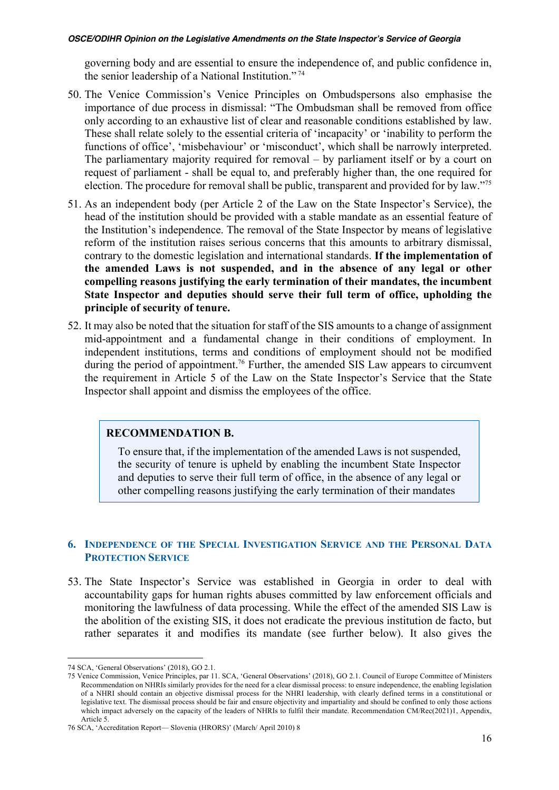governing body and are essential to ensure the independence of, and public confidence in, the senior leadership of a National Institution." <sup>74</sup>

- 50. The Venice Commission's Venice Principles on Ombudspersons also emphasise the importance of due process in dismissal: "The Ombudsman shall be removed from office only according to an exhaustive list of clear and reasonable conditions established by law. These shall relate solely to the essential criteria of 'incapacity' or 'inability to perform the functions of office', 'misbehaviour' or 'misconduct', which shall be narrowly interpreted. The parliamentary majority required for removal – by parliament itself or by a court on request of parliament - shall be equal to, and preferably higher than, the one required for election. The procedure for removal shall be public, transparent and provided for by law."75
- 51. As an independent body (per Article 2 of the Law on the State Inspector's Service), the head of the institution should be provided with a stable mandate as an essential feature of the Institution's independence. The removal of the State Inspector by means of legislative reform of the institution raises serious concerns that this amounts to arbitrary dismissal, contrary to the domestic legislation and international standards. **If the implementation of the amended Laws is not suspended, and in the absence of any legal or other compelling reasons justifying the early termination of their mandates, the incumbent State Inspector and deputies should serve their full term of office, upholding the principle of security of tenure.**
- 52. It may also be noted that the situation for staff of the SIS amounts to a change of assignment mid-appointment and a fundamental change in their conditions of employment. In independent institutions, terms and conditions of employment should not be modified during the period of appointment.<sup>76</sup> Further, the amended SIS Law appears to circumvent the requirement in Article 5 of the Law on the State Inspector's Service that the State Inspector shall appoint and dismiss the employees of the office.

### **RECOMMENDATION B.**

To ensure that, if the implementation of the amended Laws is not suspended, the security of tenure is upheld by enabling the incumbent State Inspector and deputies to serve their full term of office, in the absence of any legal or other compelling reasons justifying the early termination of their mandates

### **6. INDEPENDENCE OF THE SPECIAL INVESTIGATION SERVICE AND THE PERSONAL DATA PROTECTION SERVICE**

53. The State Inspector's Service was established in Georgia in order to deal with accountability gaps for human rights abuses committed by law enforcement officials and monitoring the lawfulness of data processing. While the effect of the amended SIS Law is the abolition of the existing SIS, it does not eradicate the previous institution de facto, but rather separates it and modifies its mandate (see further below). It also gives the

<sup>74</sup> SCA, 'General Observations' (2018), GO 2.1.

<sup>75</sup> Venice Commission, Venice Principles, par 11. SCA, 'General Observations' (2018), GO 2.1. Council of Europe Committee of Ministers Recommendation on NHRIs similarly provides for the need for a clear dismissal process: to ensure independence, the enabling legislation of a NHRI should contain an objective dismissal process for the NHRI leadership, with clearly defined terms in a constitutional or legislative text. The dismissal process should be fair and ensure objectivity and impartiality and should be confined to only those actions which impact adversely on the capacity of the leaders of NHRIs to fulfil their mandate. Recommendation CM/Rec(2021)1, Appendix, Article 5.

<sup>76</sup> SCA, 'Accreditation Report— Slovenia (HRORS)' (March/ April 2010) 8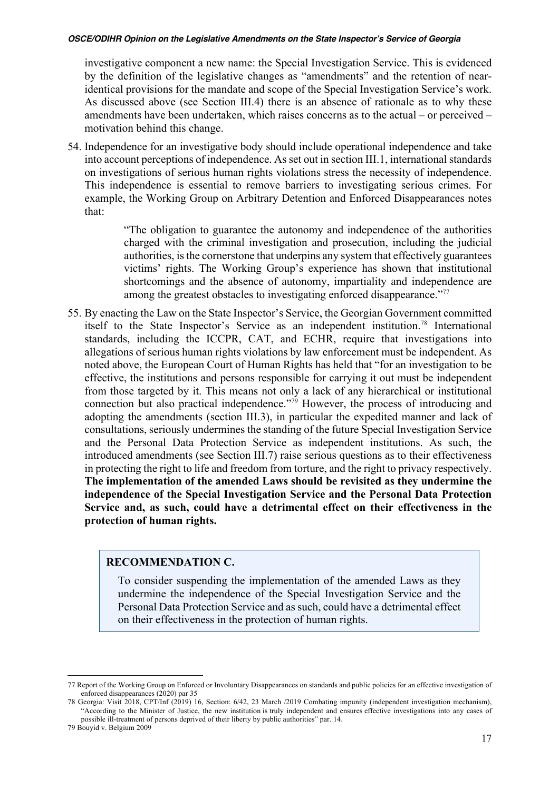investigative component a new name: the Special Investigation Service. This is evidenced by the definition of the legislative changes as "amendments" and the retention of nearidentical provisions for the mandate and scope of the Special Investigation Service's work. As discussed above (see Section III.4) there is an absence of rationale as to why these amendments have been undertaken, which raises concerns as to the actual – or perceived – motivation behind this change.

54. Independence for an investigative body should include operational independence and take into account perceptions of independence. As set out in section III.1, international standards on investigations of serious human rights violations stress the necessity of independence. This independence is essential to remove barriers to investigating serious crimes. For example, the Working Group on Arbitrary Detention and Enforced Disappearances notes that:

> "The obligation to guarantee the autonomy and independence of the authorities charged with the criminal investigation and prosecution, including the judicial authorities, is the cornerstone that underpins any system that effectively guarantees victims' rights. The Working Group's experience has shown that institutional shortcomings and the absence of autonomy, impartiality and independence are among the greatest obstacles to investigating enforced disappearance."<sup>77</sup>

55. By enacting the Law on the State Inspector's Service, the Georgian Government committed itself to the State Inspector's Service as an independent institution.78 International standards, including the ICCPR, CAT, and ECHR, require that investigations into allegations of serious human rights violations by law enforcement must be independent. As noted above, the European Court of Human Rights has held that "for an investigation to be effective, the institutions and persons responsible for carrying it out must be independent from those targeted by it. This means not only a lack of any hierarchical or institutional connection but also practical independence."79 However, the process of introducing and adopting the amendments (section III.3), in particular the expedited manner and lack of consultations, seriously undermines the standing of the future Special Investigation Service and the Personal Data Protection Service as independent institutions. As such, the introduced amendments (see Section III.7) raise serious questions as to their effectiveness in protecting the right to life and freedom from torture, and the right to privacy respectively. **The implementation of the amended Laws should be revisited as they undermine the independence of the Special Investigation Service and the Personal Data Protection Service and, as such, could have a detrimental effect on their effectiveness in the protection of human rights.**

## **RECOMMENDATION C.**

To consider suspending the implementation of the amended Laws as they undermine the independence of the Special Investigation Service and the Personal Data Protection Service and as such, could have a detrimental effect on their effectiveness in the protection of human rights.

<sup>77</sup> Report of the Working Group on Enforced or Involuntary Disappearances on standards and public policies for an effective investigation of enforced disappearances  $(2020)$  par 35

<sup>78</sup> Georgia: Visit 2018, CPT/Inf (2019) 16, Section: 6/42, 23 March /2019 Combating impunity (independent investigation mechanism), "According to the Minister of Justice, the new institution is truly independent and ensures effective investigations into any cases of possible ill-treatment of persons deprived of their liberty by public authorities" par. 14.

<sup>79</sup> Bouyid v. Belgium 2009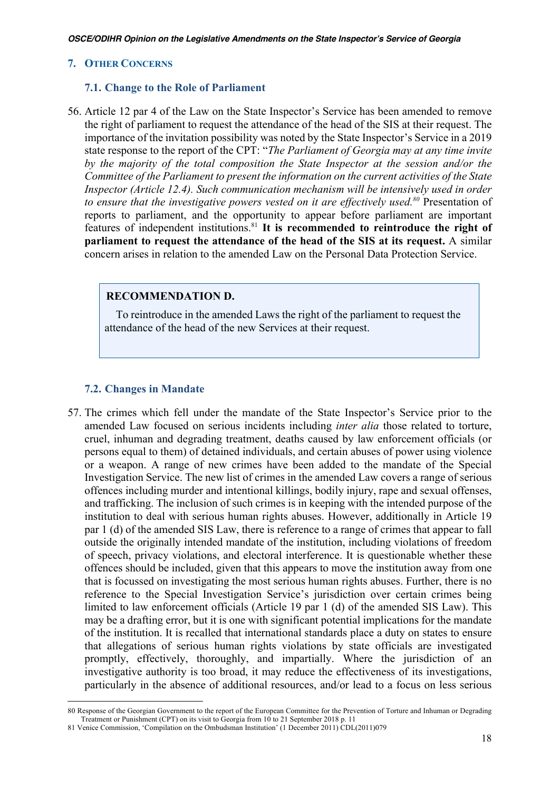### **7. OTHER CONCERNS**

#### **7.1. Change to the Role of Parliament**

56. Article 12 par 4 of the Law on the State Inspector's Service has been amended to remove the right of parliament to request the attendance of the head of the SIS at their request. The importance of the invitation possibility was noted by the State Inspector's Service in a 2019 state response to the report of the CPT: "*The Parliament of Georgia may at any time invite by the majority of the total composition the State Inspector at the session and/or the Committee of the Parliament to present the information on the current activities of the State Inspector (Article 12.4). Such communication mechanism will be intensively used in order to ensure that the investigative powers vested on it are effectively used.80* Presentation of reports to parliament, and the opportunity to appear before parliament are important features of independent institutions.81 **It is recommended to reintroduce the right of parliament to request the attendance of the head of the SIS at its request.** A similar concern arises in relation to the amended Law on the Personal Data Protection Service.

## **RECOMMENDATION D.**

 To reintroduce in the amended Laws the right of the parliament to request the attendance of the head of the new Services at their request.

## **7.2. Changes in Mandate**

57. The crimes which fell under the mandate of the State Inspector's Service prior to the amended Law focused on serious incidents including *inter alia* those related to torture, cruel, inhuman and degrading treatment, deaths caused by law enforcement officials (or persons equal to them) of detained individuals, and certain abuses of power using violence or a weapon. A range of new crimes have been added to the mandate of the Special Investigation Service. The new list of crimes in the amended Law covers a range of serious offences including murder and intentional killings, bodily injury, rape and sexual offenses, and trafficking. The inclusion of such crimes is in keeping with the intended purpose of the institution to deal with serious human rights abuses. However, additionally in Article 19 par 1 (d) of the amended SIS Law, there is reference to a range of crimes that appear to fall outside the originally intended mandate of the institution, including violations of freedom of speech, privacy violations, and electoral interference. It is questionable whether these offences should be included, given that this appears to move the institution away from one that is focussed on investigating the most serious human rights abuses. Further, there is no reference to the Special Investigation Service's jurisdiction over certain crimes being limited to law enforcement officials (Article 19 par 1 (d) of the amended SIS Law). This may be a drafting error, but it is one with significant potential implications for the mandate of the institution. It is recalled that international standards place a duty on states to ensure that allegations of serious human rights violations by state officials are investigated promptly, effectively, thoroughly, and impartially. Where the jurisdiction of an investigative authority is too broad, it may reduce the effectiveness of its investigations, particularly in the absence of additional resources, and/or lead to a focus on less serious

<sup>80</sup> Response of the Georgian Government to the report of the European Committee for the Prevention of Torture and Inhuman or Degrading Treatment or Punishment (CPT) on its visit to Georgia from 10 to 21 September 2018 p. 11

<sup>81</sup> Venice Commission, 'Compilation on the Ombudsman Institution' (1 December 2011) CDL(2011)079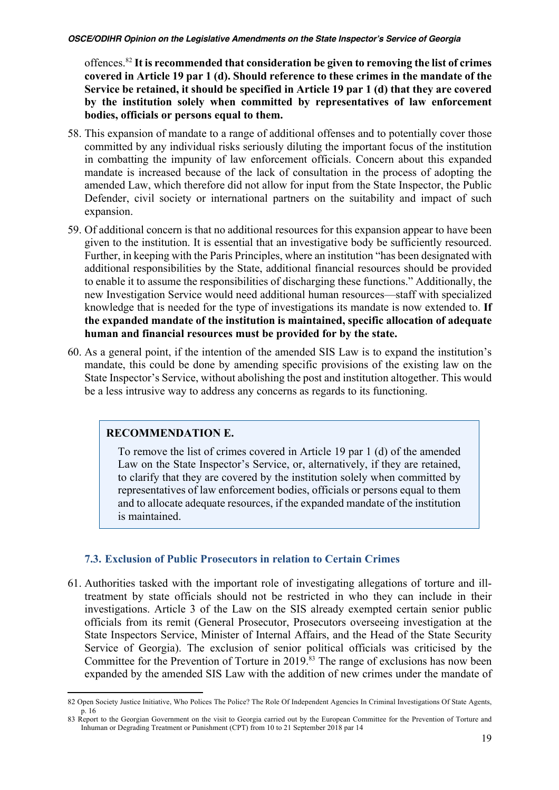offences.82 **It is recommended that consideration be given to removing the list of crimes covered in Article 19 par 1 (d). Should reference to these crimes in the mandate of the Service be retained, it should be specified in Article 19 par 1 (d) that they are covered by the institution solely when committed by representatives of law enforcement bodies, officials or persons equal to them.**

- 58. This expansion of mandate to a range of additional offenses and to potentially cover those committed by any individual risks seriously diluting the important focus of the institution in combatting the impunity of law enforcement officials. Concern about this expanded mandate is increased because of the lack of consultation in the process of adopting the amended Law, which therefore did not allow for input from the State Inspector, the Public Defender, civil society or international partners on the suitability and impact of such expansion.
- 59. Of additional concern is that no additional resources for this expansion appear to have been given to the institution. It is essential that an investigative body be sufficiently resourced. Further, in keeping with the Paris Principles, where an institution "has been designated with additional responsibilities by the State, additional financial resources should be provided to enable it to assume the responsibilities of discharging these functions." Additionally, the new Investigation Service would need additional human resources—staff with specialized knowledge that is needed for the type of investigations its mandate is now extended to. **If the expanded mandate of the institution is maintained, specific allocation of adequate human and financial resources must be provided for by the state.**
- 60. As a general point, if the intention of the amended SIS Law is to expand the institution's mandate, this could be done by amending specific provisions of the existing law on the State Inspector's Service, without abolishing the post and institution altogether. This would be a less intrusive way to address any concerns as regards to its functioning.

## **RECOMMENDATION E.**

To remove the list of crimes covered in Article 19 par 1 (d) of the amended Law on the State Inspector's Service, or, alternatively, if they are retained, to clarify that they are covered by the institution solely when committed by representatives of law enforcement bodies, officials or persons equal to them and to allocate adequate resources, if the expanded mandate of the institution is maintained.

## **7.3. Exclusion of Public Prosecutors in relation to Certain Crimes**

61. Authorities tasked with the important role of investigating allegations of torture and illtreatment by state officials should not be restricted in who they can include in their investigations. Article 3 of the Law on the SIS already exempted certain senior public officials from its remit (General Prosecutor, Prosecutors overseeing investigation at the State Inspectors Service, Minister of Internal Affairs, and the Head of the State Security Service of Georgia). The exclusion of senior political officials was criticised by the Committee for the Prevention of Torture in 2019. <sup>83</sup> The range of exclusions has now been expanded by the amended SIS Law with the addition of new crimes under the mandate of

<sup>82</sup> Open Society Justice Initiative, Who Polices The Police? The Role Of Independent Agencies In Criminal Investigations Of State Agents, p. 16

<sup>83</sup> Report to the Georgian Government on the visit to Georgia carried out by the European Committee for the Prevention of Torture and Inhuman or Degrading Treatment or Punishment (CPT) from 10 to 21 September 2018 par 14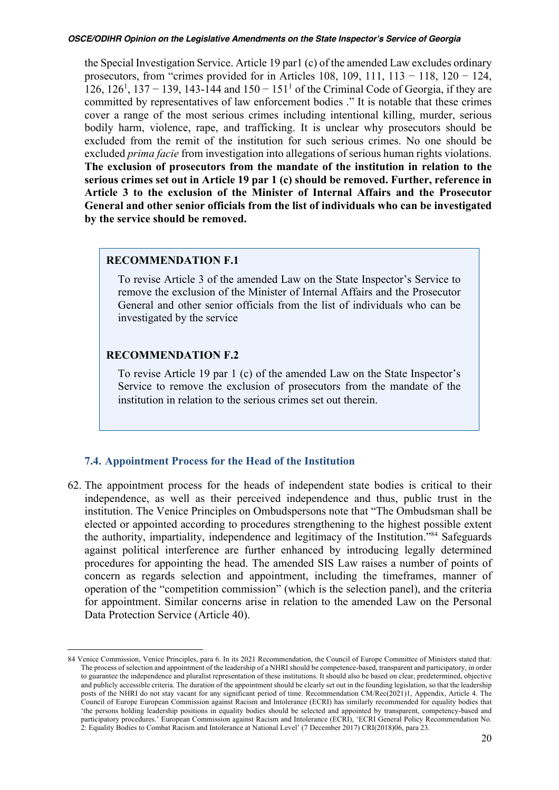the Special Investigation Service. Article 19 par1 (c) of the amended Law excludes ordinary prosecutors, from "crimes provided for in Articles 108, 109, 111, 113 − 118, 120 − 124, 126, 126<sup>1</sup>, 137 − 139, 143-144 and 150 − 151<sup>1</sup> of the Criminal Code of Georgia, if they are committed by representatives of law enforcement bodies ." It is notable that these crimes cover a range of the most serious crimes including intentional killing, murder, serious bodily harm, violence, rape, and trafficking. It is unclear why prosecutors should be excluded from the remit of the institution for such serious crimes. No one should be excluded *prima facie* from investigation into allegations of serious human rights violations. **The exclusion of prosecutors from the mandate of the institution in relation to the serious crimes set out in Article 19 par 1 (c) should be removed. Further, reference in Article 3 to the exclusion of the Minister of Internal Affairs and the Prosecutor General and other senior officials from the list of individuals who can be investigated by the service should be removed.**

#### **RECOMMENDATION F.1**

To revise Article 3 of the amended Law on the State Inspector's Service to remove the exclusion of the Minister of Internal Affairs and the Prosecutor General and other senior officials from the list of individuals who can be investigated by the service

## **RECOMMENDATION F.2**

To revise Article 19 par 1 (c) of the amended Law on the State Inspector's Service to remove the exclusion of prosecutors from the mandate of the institution in relation to the serious crimes set out therein.

#### **7.4. Appointment Process for the Head of the Institution**

62. The appointment process for the heads of independent state bodies is critical to their independence, as well as their perceived independence and thus, public trust in the institution. The Venice Principles on Ombudspersons note that "The Ombudsman shall be elected or appointed according to procedures strengthening to the highest possible extent the authority, impartiality, independence and legitimacy of the Institution."84 Safeguards against political interference are further enhanced by introducing legally determined procedures for appointing the head. The amended SIS Law raises a number of points of concern as regards selection and appointment, including the timeframes, manner of operation of the "competition commission" (which is the selection panel), and the criteria for appointment. Similar concerns arise in relation to the amended Law on the Personal Data Protection Service (Article 40).

<sup>84</sup> Venice Commission, Venice Principles, para 6. In its 2021 Recommendation, the Council of Europe Committee of Ministers stated that: The process of selection and appointment of the leadership of a NHRI should be competence-based, transparent and participatory, in order to guarantee the independence and pluralist representation of these institutions. It should also be based on clear, predetermined, objective and publicly accessible criteria. The duration of the appointment should be clearly set out in the founding legislation, so that the leadership posts of the NHRI do not stay vacant for any significant period of time. Recommendation CM/Rec(2021)1, Appendix, Article 4. The Council of Europe European Commission against Racism and Intolerance (ECRI) has similarly recommended for equality bodies that 'the persons holding leadership positions in equality bodies should be selected and appointed by transparent, competency-based and participatory procedures.' European Commission against Racism and Intolerance (ECRI), 'ECRI General Policy Recommendation No. 2: Equality Bodies to Combat Racism and Intolerance at National Level' (7 December 2017) CRI(2018)06, para 23.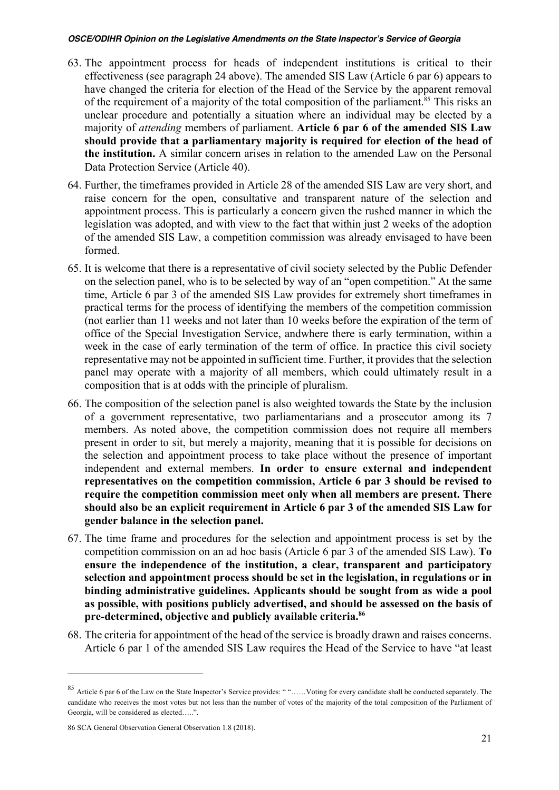- 63. The appointment process for heads of independent institutions is critical to their effectiveness (see paragraph 24 above). The amended SIS Law (Article 6 par 6) appears to have changed the criteria for election of the Head of the Service by the apparent removal of the requirement of a majority of the total composition of the parliament.<sup>85</sup> This risks an unclear procedure and potentially a situation where an individual may be elected by a majority of *attending* members of parliament. **Article 6 par 6 of the amended SIS Law should provide that a parliamentary majority is required for election of the head of the institution.** A similar concern arises in relation to the amended Law on the Personal Data Protection Service (Article 40).
- 64. Further, the timeframes provided in Article 28 of the amended SIS Law are very short, and raise concern for the open, consultative and transparent nature of the selection and appointment process. This is particularly a concern given the rushed manner in which the legislation was adopted, and with view to the fact that within just 2 weeks of the adoption of the amended SIS Law, a competition commission was already envisaged to have been formed.
- 65. It is welcome that there is a representative of civil society selected by the Public Defender on the selection panel, who is to be selected by way of an "open competition." At the same time, Article 6 par 3 of the amended SIS Law provides for extremely short timeframes in practical terms for the process of identifying the members of the competition commission (not earlier than 11 weeks and not later than 10 weeks before the expiration of the term of office of the Special Investigation Service, andwhere there is early termination, within a week in the case of early termination of the term of office. In practice this civil society representative may not be appointed in sufficient time. Further, it provides that the selection panel may operate with a majority of all members, which could ultimately result in a composition that is at odds with the principle of pluralism.
- 66. The composition of the selection panel is also weighted towards the State by the inclusion of a government representative, two parliamentarians and a prosecutor among its 7 members. As noted above, the competition commission does not require all members present in order to sit, but merely a majority, meaning that it is possible for decisions on the selection and appointment process to take place without the presence of important independent and external members. **In order to ensure external and independent representatives on the competition commission, Article 6 par 3 should be revised to require the competition commission meet only when all members are present. There should also be an explicit requirement in Article 6 par 3 of the amended SIS Law for gender balance in the selection panel.**
- 67. The time frame and procedures for the selection and appointment process is set by the competition commission on an ad hoc basis (Article 6 par 3 of the amended SIS Law). **To ensure the independence of the institution, a clear, transparent and participatory selection and appointment process should be set in the legislation, in regulations or in binding administrative guidelines. Applicants should be sought from as wide a pool as possible, with positions publicly advertised, and should be assessed on the basis of pre-determined, objective and publicly available criteria.86**
- 68. The criteria for appointment of the head of the service is broadly drawn and raises concerns. Article 6 par 1 of the amended SIS Law requires the Head of the Service to have "at least

<sup>85</sup> Article 6 par 6 of the Law on the State Inspector's Service provides: " "……Voting for every candidate shall be conducted separately. The candidate who receives the most votes but not less than the number of votes of the majority of the total composition of the Parliament of Georgia, will be considered as elected…..".

<sup>86</sup> SCA General Observation General Observation 1.8 (2018).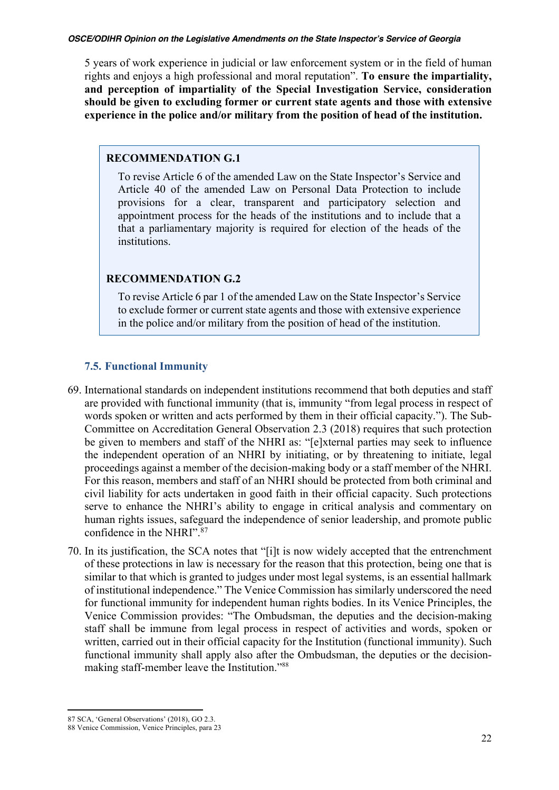5 years of work experience in judicial or law enforcement system or in the field of human rights and enjoys a high professional and moral reputation". **To ensure the impartiality, and perception of impartiality of the Special Investigation Service, consideration should be given to excluding former or current state agents and those with extensive experience in the police and/or military from the position of head of the institution.**

## **RECOMMENDATION G.1**

To revise Article 6 of the amended Law on the State Inspector's Service and Article 40 of the amended Law on Personal Data Protection to include provisions for a clear, transparent and participatory selection and appointment process for the heads of the institutions and to include that a that a parliamentary majority is required for election of the heads of the institutions.

## **RECOMMENDATION G.2**

To revise Article 6 par 1 of the amended Law on the State Inspector's Service to exclude former or current state agents and those with extensive experience in the police and/or military from the position of head of the institution.

## **7.5. Functional Immunity**

- 69. International standards on independent institutions recommend that both deputies and staff are provided with functional immunity (that is, immunity "from legal process in respect of words spoken or written and acts performed by them in their official capacity."). The Sub-Committee on Accreditation General Observation 2.3 (2018) requires that such protection be given to members and staff of the NHRI as: "[e]xternal parties may seek to influence the independent operation of an NHRI by initiating, or by threatening to initiate, legal proceedings against a member of the decision-making body or a staff member of the NHRI. For this reason, members and staff of an NHRI should be protected from both criminal and civil liability for acts undertaken in good faith in their official capacity. Such protections serve to enhance the NHRI's ability to engage in critical analysis and commentary on human rights issues, safeguard the independence of senior leadership, and promote public confidence in the NHRI". 87
- 70. In its justification, the SCA notes that "[i]t is now widely accepted that the entrenchment of these protections in law is necessary for the reason that this protection, being one that is similar to that which is granted to judges under most legal systems, is an essential hallmark of institutional independence." The Venice Commission has similarly underscored the need for functional immunity for independent human rights bodies. In its Venice Principles, the Venice Commission provides: "The Ombudsman, the deputies and the decision-making staff shall be immune from legal process in respect of activities and words, spoken or written, carried out in their official capacity for the Institution (functional immunity). Such functional immunity shall apply also after the Ombudsman, the deputies or the decisionmaking staff-member leave the Institution."88

<sup>87</sup> SCA, 'General Observations' (2018), GO 2.3.

<sup>88</sup> Venice Commission, Venice Principles, para 23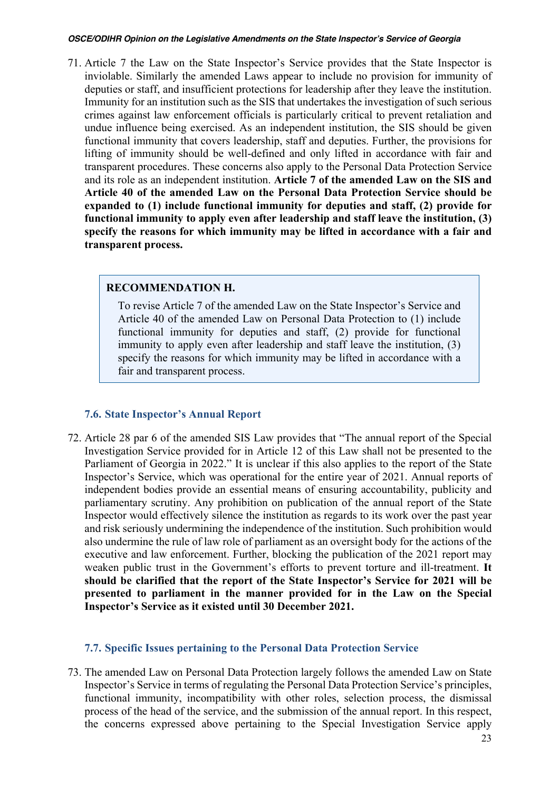71. Article 7 the Law on the State Inspector's Service provides that the State Inspector is inviolable. Similarly the amended Laws appear to include no provision for immunity of deputies or staff, and insufficient protections for leadership after they leave the institution. Immunity for an institution such as the SIS that undertakes the investigation of such serious crimes against law enforcement officials is particularly critical to prevent retaliation and undue influence being exercised. As an independent institution, the SIS should be given functional immunity that covers leadership, staff and deputies. Further, the provisions for lifting of immunity should be well-defined and only lifted in accordance with fair and transparent procedures. These concerns also apply to the Personal Data Protection Service and its role as an independent institution. **Article 7 of the amended Law on the SIS and Article 40 of the amended Law on the Personal Data Protection Service should be expanded to (1) include functional immunity for deputies and staff, (2) provide for functional immunity to apply even after leadership and staff leave the institution, (3) specify the reasons for which immunity may be lifted in accordance with a fair and transparent process.**

### **RECOMMENDATION H.**

To revise Article 7 of the amended Law on the State Inspector's Service and Article 40 of the amended Law on Personal Data Protection to (1) include functional immunity for deputies and staff, (2) provide for functional immunity to apply even after leadership and staff leave the institution, (3) specify the reasons for which immunity may be lifted in accordance with a fair and transparent process.

## **7.6. State Inspector's Annual Report**

72. Article 28 par 6 of the amended SIS Law provides that "The annual report of the Special Investigation Service provided for in Article 12 of this Law shall not be presented to the Parliament of Georgia in 2022." It is unclear if this also applies to the report of the State Inspector's Service, which was operational for the entire year of 2021. Annual reports of independent bodies provide an essential means of ensuring accountability, publicity and parliamentary scrutiny. Any prohibition on publication of the annual report of the State Inspector would effectively silence the institution as regards to its work over the past year and risk seriously undermining the independence of the institution. Such prohibition would also undermine the rule of law role of parliament as an oversight body for the actions of the executive and law enforcement. Further, blocking the publication of the 2021 report may weaken public trust in the Government's efforts to prevent torture and ill-treatment. **It should be clarified that the report of the State Inspector's Service for 2021 will be presented to parliament in the manner provided for in the Law on the Special Inspector's Service as it existed until 30 December 2021.**

## **7.7. Specific Issues pertaining to the Personal Data Protection Service**

73. The amended Law on Personal Data Protection largely follows the amended Law on State Inspector's Service in terms of regulating the Personal Data Protection Service's principles, functional immunity, incompatibility with other roles, selection process, the dismissal process of the head of the service, and the submission of the annual report. In this respect, the concerns expressed above pertaining to the Special Investigation Service apply